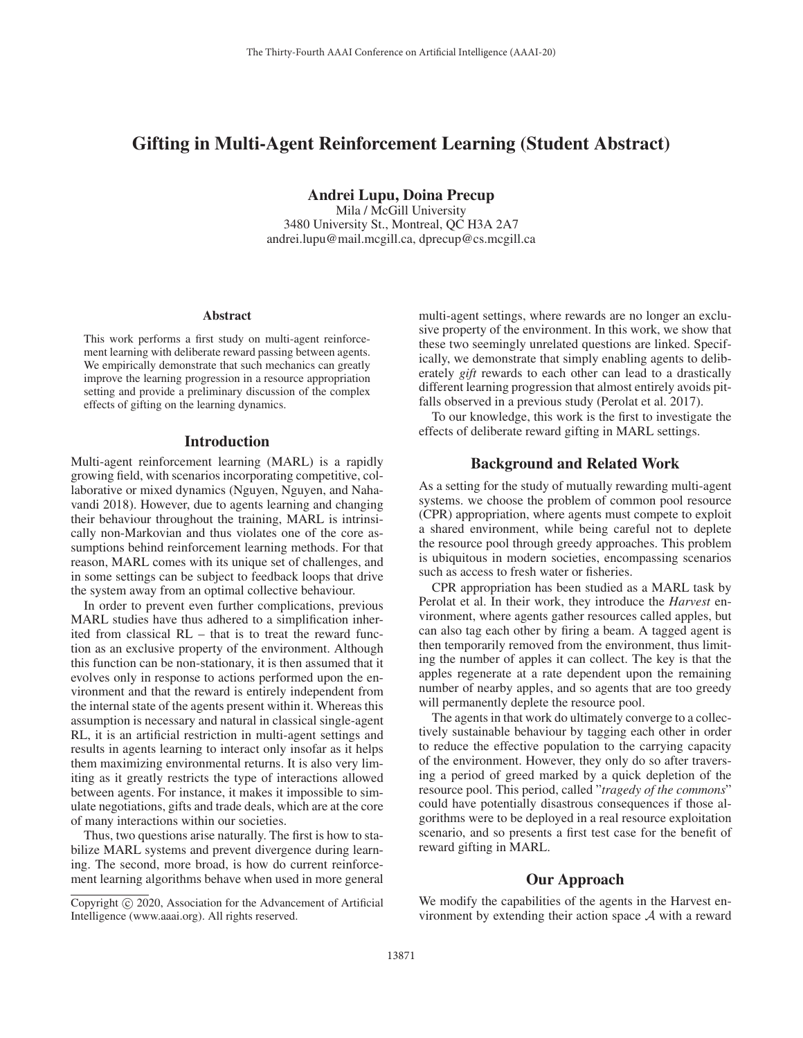# Gifting in Multi-Agent Reinforcement Learning (Student Abstract)

Andrei Lupu, Doina Precup Mila / McGill University 3480 University St., Montreal, QC H3A 2A7 andrei.lupu@mail.mcgill.ca, dprecup@cs.mcgill.ca

#### Abstract

This work performs a first study on multi-agent reinforcement learning with deliberate reward passing between agents. We empirically demonstrate that such mechanics can greatly improve the learning progression in a resource appropriation setting and provide a preliminary discussion of the complex effects of gifting on the learning dynamics.

### Introduction

Multi-agent reinforcement learning (MARL) is a rapidly growing field, with scenarios incorporating competitive, collaborative or mixed dynamics (Nguyen, Nguyen, and Nahavandi 2018). However, due to agents learning and changing their behaviour throughout the training, MARL is intrinsically non-Markovian and thus violates one of the core assumptions behind reinforcement learning methods. For that reason, MARL comes with its unique set of challenges, and in some settings can be subject to feedback loops that drive the system away from an optimal collective behaviour.

In order to prevent even further complications, previous MARL studies have thus adhered to a simplification inherited from classical RL – that is to treat the reward function as an exclusive property of the environment. Although this function can be non-stationary, it is then assumed that it evolves only in response to actions performed upon the environment and that the reward is entirely independent from the internal state of the agents present within it. Whereas this assumption is necessary and natural in classical single-agent RL, it is an artificial restriction in multi-agent settings and results in agents learning to interact only insofar as it helps them maximizing environmental returns. It is also very limiting as it greatly restricts the type of interactions allowed between agents. For instance, it makes it impossible to simulate negotiations, gifts and trade deals, which are at the core of many interactions within our societies.

Thus, two questions arise naturally. The first is how to stabilize MARL systems and prevent divergence during learning. The second, more broad, is how do current reinforcement learning algorithms behave when used in more general

multi-agent settings, where rewards are no longer an exclusive property of the environment. In this work, we show that these two seemingly unrelated questions are linked. Specifically, we demonstrate that simply enabling agents to deliberately *gift* rewards to each other can lead to a drastically different learning progression that almost entirely avoids pitfalls observed in a previous study (Perolat et al. 2017).

To our knowledge, this work is the first to investigate the effects of deliberate reward gifting in MARL settings.

# Background and Related Work

As a setting for the study of mutually rewarding multi-agent systems. we choose the problem of common pool resource (CPR) appropriation, where agents must compete to exploit a shared environment, while being careful not to deplete the resource pool through greedy approaches. This problem is ubiquitous in modern societies, encompassing scenarios such as access to fresh water or fisheries.

CPR appropriation has been studied as a MARL task by Perolat et al. In their work, they introduce the *Harvest* environment, where agents gather resources called apples, but can also tag each other by firing a beam. A tagged agent is then temporarily removed from the environment, thus limiting the number of apples it can collect. The key is that the apples regenerate at a rate dependent upon the remaining number of nearby apples, and so agents that are too greedy will permanently deplete the resource pool.

The agents in that work do ultimately converge to a collectively sustainable behaviour by tagging each other in order to reduce the effective population to the carrying capacity of the environment. However, they only do so after traversing a period of greed marked by a quick depletion of the resource pool. This period, called "*tragedy of the commons*" could have potentially disastrous consequences if those algorithms were to be deployed in a real resource exploitation scenario, and so presents a first test case for the benefit of reward gifting in MARL.

# Our Approach

We modify the capabilities of the agents in the Harvest environment by extending their action space A with a reward

Copyright  $\odot$  2020, Association for the Advancement of Artificial Intelligence (www.aaai.org). All rights reserved.